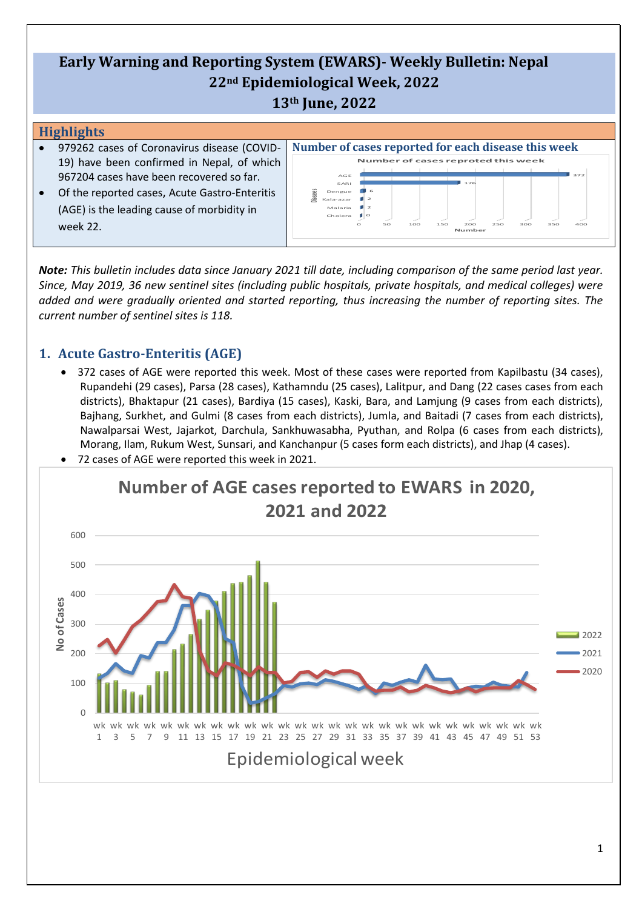# **Early Warning and Reporting System (EWARS)- Weekly Bulletin: Nepal 22nd Epidemiological Week, 2022 13th June, 2022**

#### **Highlights**

- 979262 cases of Coronavirus disease (COVID-19) have been confirmed in Nepal, of which 967204 cases have been recovered so far.
- Of the reported cases, Acute Gastro-Enteritis (AGE) is the leading cause of morbidity in week 22.



*Note: This bulletin includes data since January 2021 till date, including comparison of the same period last year. Since, May 2019, 36 new sentinel sites (including public hospitals, private hospitals, and medical colleges) were added and were gradually oriented and started reporting, thus increasing the number of reporting sites. The current number of sentinel sites is 118.*

## **1. Acute Gastro-Enteritis (AGE)**

• 372 cases of AGE were reported this week. Most of these cases were reported from Kapilbastu (34 cases), Rupandehi (29 cases), Parsa (28 cases), Kathamndu (25 cases), Lalitpur, and Dang (22 cases cases from each districts), Bhaktapur (21 cases), Bardiya (15 cases), Kaski, Bara, and Lamjung (9 cases from each districts), Bajhang, Surkhet, and Gulmi (8 cases from each districts), Jumla, and Baitadi (7 cases from each districts), Nawalparsai West, Jajarkot, Darchula, Sankhuwasabha, Pyuthan, and Rolpa (6 cases from each districts), Morang, Ilam, Rukum West, Sunsari, and Kanchanpur (5 cases form each districts), and Jhap (4 cases).



• 72 cases of AGE were reported this week in 2021.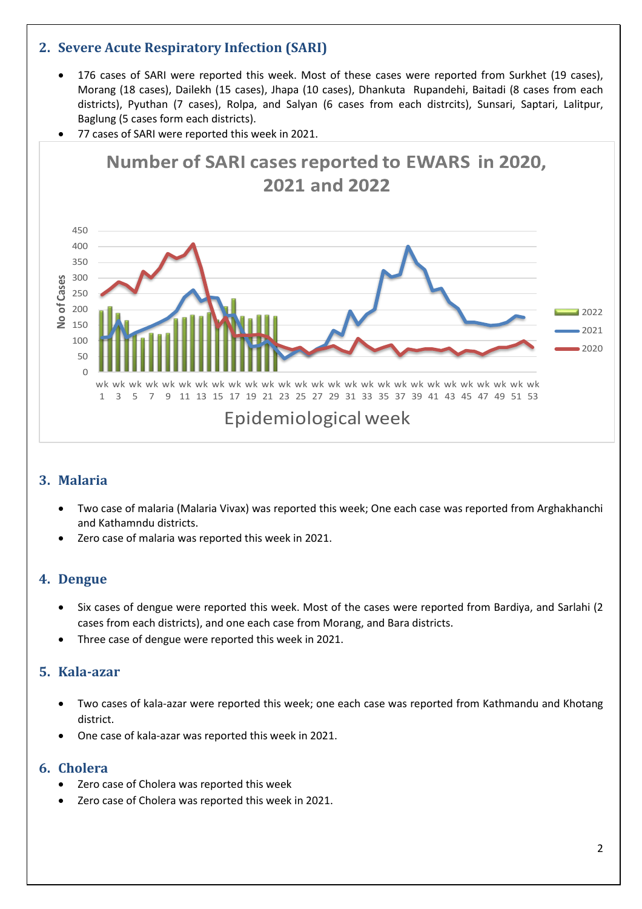## **2. Severe Acute Respiratory Infection (SARI)**

- 176 cases of SARI were reported this week. Most of these cases were reported from Surkhet (19 cases), Morang (18 cases), Dailekh (15 cases), Jhapa (10 cases), Dhankuta Rupandehi, Baitadi (8 cases from each districts), Pyuthan (7 cases), Rolpa, and Salyan (6 cases from each distrcits), Sunsari, Saptari, Lalitpur, Baglung (5 cases form each districts).
- 77 cases of SARI were reported this week in 2021.



## **3. Malaria**

- Two case of malaria (Malaria Vivax) was reported this week; One each case was reported from Arghakhanchi and Kathamndu districts.
- Zero case of malaria was reported this week in 2021.

#### **4. Dengue**

- Six cases of dengue were reported this week. Most of the cases were reported from Bardiya, and Sarlahi (2 cases from each districts), and one each case from Morang, and Bara districts.
- Three case of dengue were reported this week in 2021.

### **5. Kala-azar**

- Two cases of kala-azar were reported this week; one each case was reported from Kathmandu and Khotang district.
- One case of kala-azar was reported this week in 2021.

#### **6. Cholera**

- Zero case of Cholera was reported this week
- Zero case of Cholera was reported this week in 2021.